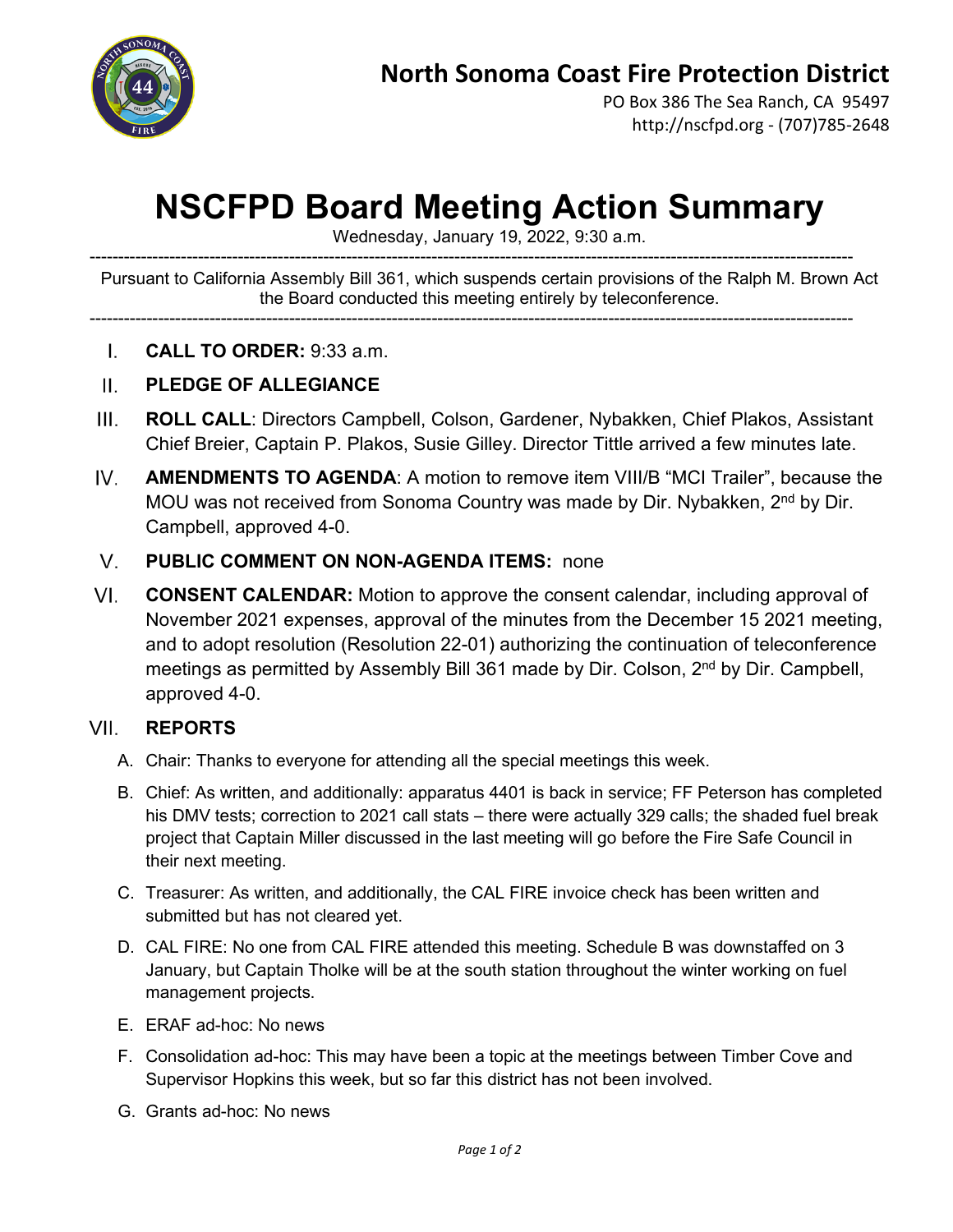

PO Box 386 The Sea Ranch, CA 95497 http://nscfpd.org - (707)785-2648

## **NSCFPD Board Meeting Action Summary**

Wednesday, January 19, 2022, 9:30 a.m.

-------------------------------------------------------------------------------------------------------------------------------------- Pursuant to California Assembly Bill 361, which suspends certain provisions of the Ralph M. Brown Act the Board conducted this meeting entirely by teleconference.

--------------------------------------------------------------------------------------------------------------------------------------

- $\mathbf{L}$ **CALL TO ORDER:** 9:33 a.m.
- $\Pi$ . **PLEDGE OF ALLEGIANCE**
- $III.$ **ROLL CALL**: Directors Campbell, Colson, Gardener, Nybakken, Chief Plakos, Assistant Chief Breier, Captain P. Plakos, Susie Gilley. Director Tittle arrived a few minutes late.
- IV. **AMENDMENTS TO AGENDA**: A motion to remove item VIII/B "MCI Trailer", because the MOU was not received from Sonoma Country was made by Dir. Nybakken, 2<sup>nd</sup> by Dir. Campbell, approved 4-0.
- $V_{\perp}$ **PUBLIC COMMENT ON NON-AGENDA ITEMS:** none
- $VI.$ **CONSENT CALENDAR:** Motion to approve the consent calendar, including approval of November 2021 expenses, approval of the minutes from the December 15 2021 meeting, and to adopt resolution (Resolution 22-01) authorizing the continuation of teleconference meetings as permitted by Assembly Bill 361 made by Dir. Colson, 2<sup>nd</sup> by Dir. Campbell. approved 4-0.

## VII. **REPORTS**

- A. Chair: Thanks to everyone for attending all the special meetings this week.
- B. Chief: As written, and additionally: apparatus 4401 is back in service; FF Peterson has completed his DMV tests; correction to 2021 call stats – there were actually 329 calls; the shaded fuel break project that Captain Miller discussed in the last meeting will go before the Fire Safe Council in their next meeting.
- C. Treasurer: As written, and additionally, the CAL FIRE invoice check has been written and submitted but has not cleared yet.
- D. CAL FIRE: No one from CAL FIRE attended this meeting. Schedule B was downstaffed on 3 January, but Captain Tholke will be at the south station throughout the winter working on fuel management projects.
- E. ERAF ad-hoc: No news
- F. Consolidation ad-hoc: This may have been a topic at the meetings between Timber Cove and Supervisor Hopkins this week, but so far this district has not been involved.
- G. Grants ad-hoc: No news